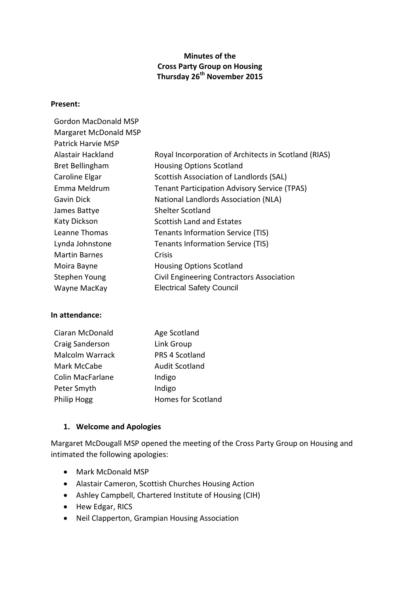# **Minutes of the Cross Party Group on Housing Thursday 26th November 2015**

#### **Present:**

| Gordon MacDonald MSP   |                                                      |
|------------------------|------------------------------------------------------|
| Margaret McDonald MSP  |                                                      |
| Patrick Harvie MSP     |                                                      |
| Alastair Hackland      | Royal Incorporation of Architects in Scotland (RIAS) |
| <b>Bret Bellingham</b> | <b>Housing Options Scotland</b>                      |
| Caroline Elgar         | Scottish Association of Landlords (SAL)              |
| Emma Meldrum           | <b>Tenant Participation Advisory Service (TPAS)</b>  |
| Gavin Dick             | National Landlords Association (NLA)                 |
| James Battye           | <b>Shelter Scotland</b>                              |
| <b>Katy Dickson</b>    | Scottish Land and Estates                            |
| Leanne Thomas          | Tenants Information Service (TIS)                    |
| Lynda Johnstone        | Tenants Information Service (TIS)                    |
| <b>Martin Barnes</b>   | Crisis                                               |
| Moira Bayne            | <b>Housing Options Scotland</b>                      |
| Stephen Young          | Civil Engineering Contractors Association            |
| Wayne MacKay           | <b>Electrical Safety Council</b>                     |
|                        |                                                      |

#### **In attendance:**

| Ciaran McDonald  | Age Scotland          |
|------------------|-----------------------|
| Craig Sanderson  | Link Group            |
| Malcolm Warrack  | PRS 4 Scotland        |
| Mark McCabe      | <b>Audit Scotland</b> |
| Colin MacFarlane | Indigo                |
| Peter Smyth      | Indigo                |
| Philip Hogg      | Homes for Scotland    |

#### **1. Welcome and Apologies**

Margaret McDougall MSP opened the meeting of the Cross Party Group on Housing and intimated the following apologies:

- Mark McDonald MSP
- Alastair Cameron, Scottish Churches Housing Action
- Ashley Campbell, Chartered Institute of Housing (CIH)
- Hew Edgar, RICS
- Neil Clapperton, Grampian Housing Association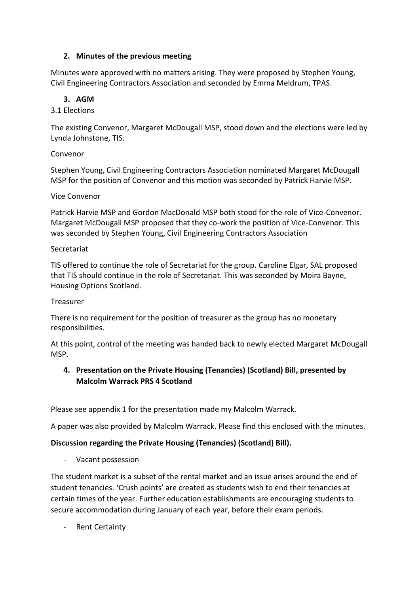# **2. Minutes of the previous meeting**

Minutes were approved with no matters arising. They were proposed by Stephen Young, Civil Engineering Contractors Association and seconded by Emma Meldrum, TPAS.

# **3. AGM**

# 3.1 Elections

The existing Convenor, Margaret McDougall MSP, stood down and the elections were led by Lynda Johnstone, TIS.

# Convenor

Stephen Young, Civil Engineering Contractors Association nominated Margaret McDougall MSP for the position of Convenor and this motion was seconded by Patrick Harvie MSP.

# Vice Convenor

Patrick Harvie MSP and Gordon MacDonald MSP both stood for the role of Vice-Convenor. Margaret McDougall MSP proposed that they co-work the position of Vice-Convenor. This was seconded by Stephen Young, Civil Engineering Contractors Association

# Secretariat

TIS offered to continue the role of Secretariat for the group. Caroline Elgar, SAL proposed that TIS should continue in the role of Secretariat. This was seconded by Moira Bayne, Housing Options Scotland.

# Treasurer

There is no requirement for the position of treasurer as the group has no monetary responsibilities.

At this point, control of the meeting was handed back to newly elected Margaret McDougall MSP.

# **4. Presentation on the Private Housing (Tenancies) (Scotland) Bill, presented by Malcolm Warrack PRS 4 Scotland**

Please see appendix 1 for the presentation made my Malcolm Warrack.

A paper was also provided by Malcolm Warrack. Please find this enclosed with the minutes.

# **Discussion regarding the Private Housing (Tenancies) (Scotland) Bill).**

- Vacant possession

The student market is a subset of the rental market and an issue arises around the end of student tenancies. 'Crush points' are created as students wish to end their tenancies at certain times of the year. Further education establishments are encouraging students to secure accommodation during January of each year, before their exam periods.

- Rent Certainty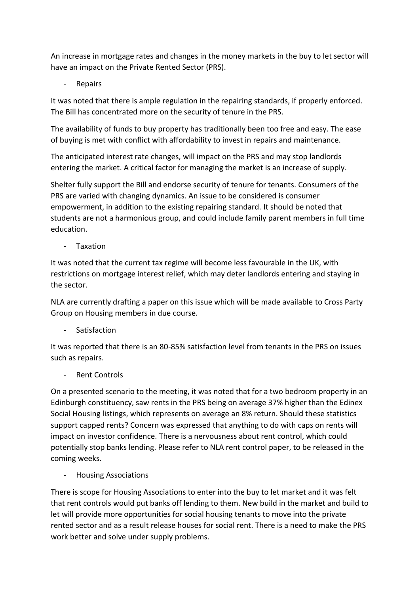An increase in mortgage rates and changes in the money markets in the buy to let sector will have an impact on the Private Rented Sector (PRS).

**Repairs** 

It was noted that there is ample regulation in the repairing standards, if properly enforced. The Bill has concentrated more on the security of tenure in the PRS.

The availability of funds to buy property has traditionally been too free and easy. The ease of buying is met with conflict with affordability to invest in repairs and maintenance.

The anticipated interest rate changes, will impact on the PRS and may stop landlords entering the market. A critical factor for managing the market is an increase of supply.

Shelter fully support the Bill and endorse security of tenure for tenants. Consumers of the PRS are varied with changing dynamics. An issue to be considered is consumer empowerment, in addition to the existing repairing standard. It should be noted that students are not a harmonious group, and could include family parent members in full time education.

**Taxation** 

It was noted that the current tax regime will become less favourable in the UK, with restrictions on mortgage interest relief, which may deter landlords entering and staying in the sector.

NLA are currently drafting a paper on this issue which will be made available to Cross Party Group on Housing members in due course.

**Satisfaction** 

It was reported that there is an 80-85% satisfaction level from tenants in the PRS on issues such as repairs.

Rent Controls

On a presented scenario to the meeting, it was noted that for a two bedroom property in an Edinburgh constituency, saw rents in the PRS being on average 37% higher than the Edinex Social Housing listings, which represents on average an 8% return. Should these statistics support capped rents? Concern was expressed that anything to do with caps on rents will impact on investor confidence. There is a nervousness about rent control, which could potentially stop banks lending. Please refer to NLA rent control paper, to be released in the coming weeks.

- Housing Associations

There is scope for Housing Associations to enter into the buy to let market and it was felt that rent controls would put banks off lending to them. New build in the market and build to let will provide more opportunities for social housing tenants to move into the private rented sector and as a result release houses for social rent. There is a need to make the PRS work better and solve under supply problems.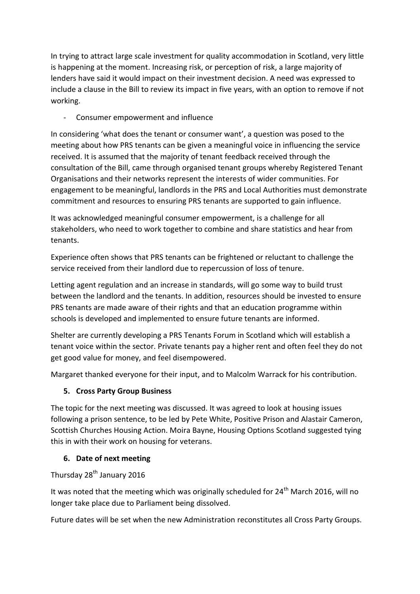In trying to attract large scale investment for quality accommodation in Scotland, very little is happening at the moment. Increasing risk, or perception of risk, a large majority of lenders have said it would impact on their investment decision. A need was expressed to include a clause in the Bill to review its impact in five years, with an option to remove if not working.

Consumer empowerment and influence

In considering 'what does the tenant or consumer want', a question was posed to the meeting about how PRS tenants can be given a meaningful voice in influencing the service received. It is assumed that the majority of tenant feedback received through the consultation of the Bill, came through organised tenant groups whereby Registered Tenant Organisations and their networks represent the interests of wider communities. For engagement to be meaningful, landlords in the PRS and Local Authorities must demonstrate commitment and resources to ensuring PRS tenants are supported to gain influence.

It was acknowledged meaningful consumer empowerment, is a challenge for all stakeholders, who need to work together to combine and share statistics and hear from tenants.

Experience often shows that PRS tenants can be frightened or reluctant to challenge the service received from their landlord due to repercussion of loss of tenure.

Letting agent regulation and an increase in standards, will go some way to build trust between the landlord and the tenants. In addition, resources should be invested to ensure PRS tenants are made aware of their rights and that an education programme within schools is developed and implemented to ensure future tenants are informed.

Shelter are currently developing a PRS Tenants Forum in Scotland which will establish a tenant voice within the sector. Private tenants pay a higher rent and often feel they do not get good value for money, and feel disempowered.

Margaret thanked everyone for their input, and to Malcolm Warrack for his contribution.

# **5. Cross Party Group Business**

The topic for the next meeting was discussed. It was agreed to look at housing issues following a prison sentence, to be led by Pete White, Positive Prison and Alastair Cameron, Scottish Churches Housing Action. Moira Bayne, Housing Options Scotland suggested tying this in with their work on housing for veterans.

# **6. Date of next meeting**

Thursday 28<sup>th</sup> January 2016

It was noted that the meeting which was originally scheduled for  $24<sup>th</sup>$  March 2016, will no longer take place due to Parliament being dissolved.

Future dates will be set when the new Administration reconstitutes all Cross Party Groups.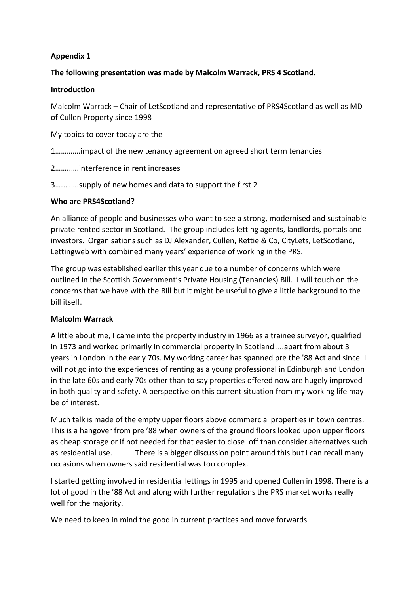# **Appendix 1**

# **The following presentation was made by Malcolm Warrack, PRS 4 Scotland.**

## **Introduction**

Malcolm Warrack – Chair of LetScotland and representative of PRS4Scotland as well as MD of Cullen Property since 1998

My topics to cover today are the

1………….impact of the new tenancy agreement on agreed short term tenancies

2……..….interference in rent increases

3…..…….supply of new homes and data to support the first 2

#### **Who are PRS4Scotland?**

An alliance of people and businesses who want to see a strong, modernised and sustainable private rented sector in Scotland. The group includes letting agents, landlords, portals and investors. Organisations such as DJ Alexander, Cullen, Rettie & Co, CityLets, LetScotland, Lettingweb with combined many years' experience of working in the PRS.

The group was established earlier this year due to a number of concerns which were outlined in the Scottish Government's Private Housing (Tenancies) Bill. I will touch on the concerns that we have with the Bill but it might be useful to give a little background to the bill itself.

# **Malcolm Warrack**

A little about me, I came into the property industry in 1966 as a trainee surveyor, qualified in 1973 and worked primarily in commercial property in Scotland ….apart from about 3 years in London in the early 70s. My working career has spanned pre the '88 Act and since. I will not go into the experiences of renting as a young professional in Edinburgh and London in the late 60s and early 70s other than to say properties offered now are hugely improved in both quality and safety. A perspective on this current situation from my working life may be of interest.

Much talk is made of the empty upper floors above commercial properties in town centres. This is a hangover from pre '88 when owners of the ground floors looked upon upper floors as cheap storage or if not needed for that easier to close off than consider alternatives such as residential use. There is a bigger discussion point around this but I can recall many occasions when owners said residential was too complex.

I started getting involved in residential lettings in 1995 and opened Cullen in 1998. There is a lot of good in the '88 Act and along with further regulations the PRS market works really well for the majority.

We need to keep in mind the good in current practices and move forwards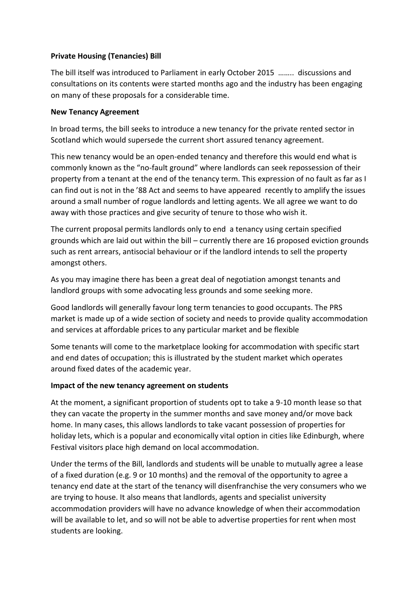# **Private Housing (Tenancies) Bill**

The bill itself was introduced to Parliament in early October 2015 …….. discussions and consultations on its contents were started months ago and the industry has been engaging on many of these proposals for a considerable time.

# **New Tenancy Agreement**

In broad terms, the bill seeks to introduce a new tenancy for the private rented sector in Scotland which would supersede the current short assured tenancy agreement.

This new tenancy would be an open-ended tenancy and therefore this would end what is commonly known as the "no-fault ground" where landlords can seek repossession of their property from a tenant at the end of the tenancy term. This expression of no fault as far as I can find out is not in the '88 Act and seems to have appeared recently to amplify the issues around a small number of rogue landlords and letting agents. We all agree we want to do away with those practices and give security of tenure to those who wish it.

The current proposal permits landlords only to end a tenancy using certain specified grounds which are laid out within the bill – currently there are 16 proposed eviction grounds such as rent arrears, antisocial behaviour or if the landlord intends to sell the property amongst others.

As you may imagine there has been a great deal of negotiation amongst tenants and landlord groups with some advocating less grounds and some seeking more.

Good landlords will generally favour long term tenancies to good occupants. The PRS market is made up of a wide section of society and needs to provide quality accommodation and services at affordable prices to any particular market and be flexible

Some tenants will come to the marketplace looking for accommodation with specific start and end dates of occupation; this is illustrated by the student market which operates around fixed dates of the academic year.

# **Impact of the new tenancy agreement on students**

At the moment, a significant proportion of students opt to take a 9-10 month lease so that they can vacate the property in the summer months and save money and/or move back home. In many cases, this allows landlords to take vacant possession of properties for holiday lets, which is a popular and economically vital option in cities like Edinburgh, where Festival visitors place high demand on local accommodation.

Under the terms of the Bill, landlords and students will be unable to mutually agree a lease of a fixed duration (e.g. 9 or 10 months) and the removal of the opportunity to agree a tenancy end date at the start of the tenancy will disenfranchise the very consumers who we are trying to house. It also means that landlords, agents and specialist university accommodation providers will have no advance knowledge of when their accommodation will be available to let, and so will not be able to advertise properties for rent when most students are looking.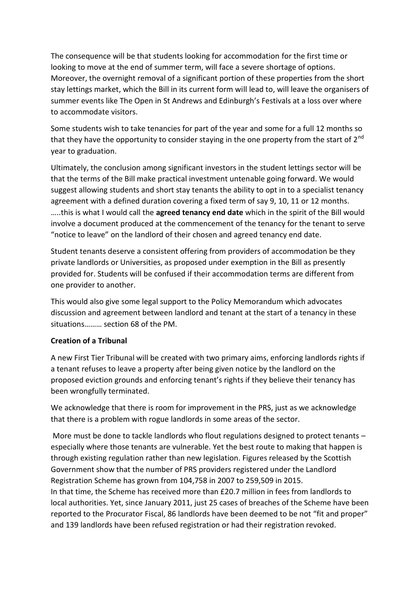The consequence will be that students looking for accommodation for the first time or looking to move at the end of summer term, will face a severe shortage of options. Moreover, the overnight removal of a significant portion of these properties from the short stay lettings market, which the Bill in its current form will lead to, will leave the organisers of summer events like The Open in St Andrews and Edinburgh's Festivals at a loss over where to accommodate visitors.

Some students wish to take tenancies for part of the year and some for a full 12 months so that they have the opportunity to consider staying in the one property from the start of  $2^{nd}$ year to graduation.

Ultimately, the conclusion among significant investors in the student lettings sector will be that the terms of the Bill make practical investment untenable going forward. We would suggest allowing students and short stay tenants the ability to opt in to a specialist tenancy agreement with a defined duration covering a fixed term of say 9, 10, 11 or 12 months. …..this is what I would call the **agreed tenancy end date** which in the spirit of the Bill would involve a document produced at the commencement of the tenancy for the tenant to serve "notice to leave" on the landlord of their chosen and agreed tenancy end date.

Student tenants deserve a consistent offering from providers of accommodation be they private landlords or Universities, as proposed under exemption in the Bill as presently provided for. Students will be confused if their accommodation terms are different from one provider to another.

This would also give some legal support to the Policy Memorandum which advocates discussion and agreement between landlord and tenant at the start of a tenancy in these situations……… section 68 of the PM.

# **Creation of a Tribunal**

A new First Tier Tribunal will be created with two primary aims, enforcing landlords rights if a tenant refuses to leave a property after being given notice by the landlord on the proposed eviction grounds and enforcing tenant's rights if they believe their tenancy has been wrongfully terminated.

We acknowledge that there is room for improvement in the PRS, just as we acknowledge that there is a problem with rogue landlords in some areas of the sector.

More must be done to tackle landlords who flout regulations designed to protect tenants especially where those tenants are vulnerable. Yet the best route to making that happen is through existing regulation rather than new legislation. Figures released by the Scottish Government show that the number of PRS providers registered under the Landlord Registration Scheme has grown from 104,758 in 2007 to 259,509 in 2015. In that time, the Scheme has received more than £20.7 million in fees from landlords to local authorities. Yet, since January 2011, just 25 cases of breaches of the Scheme have been reported to the Procurator Fiscal, 86 landlords have been deemed to be not "fit and proper" and 139 landlords have been refused registration or had their registration revoked.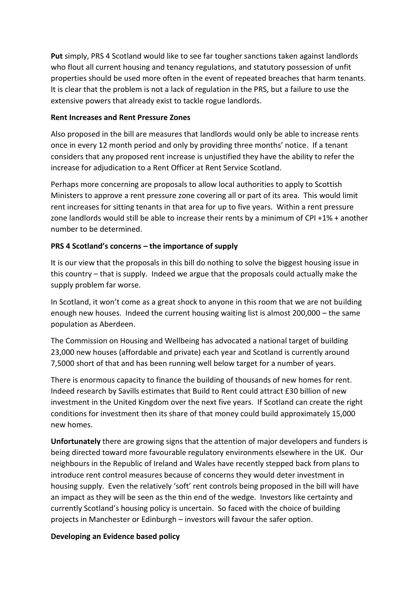**Put** simply, PRS 4 Scotland would like to see far tougher sanctions taken against landlords who flout all current housing and tenancy regulations, and statutory possession of unfit properties should be used more often in the event of repeated breaches that harm tenants. It is clear that the problem is not a lack of regulation in the PRS, but a failure to use the extensive powers that already exist to tackle rogue landlords.

## **Rent Increases and Rent Pressure Zones**

Also proposed in the bill are measures that landlords would only be able to increase rents once in every 12 month period and only by providing three months' notice. If a tenant considers that any proposed rent increase is unjustified they have the ability to refer the increase for adjudication to a Rent Officer at Rent Service Scotland.

Perhaps more concerning are proposals to allow local authorities to apply to Scottish Ministers to approve a rent pressure zone covering all or part of its area. This would limit rent increases for sitting tenants in that area for up to five years. Within a rent pressure zone landlords would still be able to increase their rents by a minimum of CPI +1% + another number to be determined.

# **PRS 4 Scotland's concerns – the importance of supply**

It is our view that the proposals in this bill do nothing to solve the biggest housing issue in this country – that is supply. Indeed we argue that the proposals could actually make the supply problem far worse.

In Scotland, it won't come as a great shock to anyone in this room that we are not building enough new houses. Indeed the current housing waiting list is almost 200,000 – the same population as Aberdeen.

The Commission on Housing and Wellbeing has advocated a national target of building 23,000 new houses (affordable and private) each year and Scotland is currently around 7,5000 short of that and has been running well below target for a number of years.

There is enormous capacity to finance the building of thousands of new homes for rent. Indeed research by Savills estimates that Build to Rent could attract £30 billion of new investment in the United Kingdom over the next five years. If Scotland can create the right conditions for investment then its share of that money could build approximately 15,000 new homes.

**Unfortunately** there are growing signs that the attention of major developers and funders is being directed toward more favourable regulatory environments elsewhere in the UK. Our neighbours in the Republic of Ireland and Wales have recently stepped back from plans to introduce rent control measures because of concerns they would deter investment in housing supply. Even the relatively 'soft' rent controls being proposed in the bill will have an impact as they will be seen as the thin end of the wedge. Investors like certainty and currently Scotland's housing policy is uncertain. So faced with the choice of building projects in Manchester or Edinburgh – investors will favour the safer option.

# **Developing an Evidence based policy**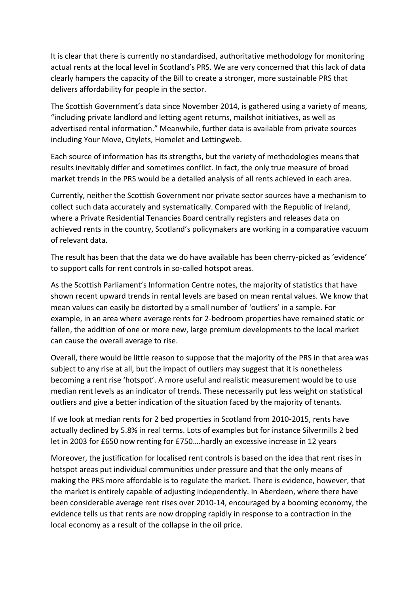It is clear that there is currently no standardised, authoritative methodology for monitoring actual rents at the local level in Scotland's PRS. We are very concerned that this lack of data clearly hampers the capacity of the Bill to create a stronger, more sustainable PRS that delivers affordability for people in the sector.

The Scottish Government's data since November 2014, is gathered using a variety of means, "including private landlord and letting agent returns, mailshot initiatives, as well as advertised rental information." Meanwhile, further data is available from private sources including Your Move, Citylets, Homelet and Lettingweb.

Each source of information has its strengths, but the variety of methodologies means that results inevitably differ and sometimes conflict. In fact, the only true measure of broad market trends in the PRS would be a detailed analysis of all rents achieved in each area.

Currently, neither the Scottish Government nor private sector sources have a mechanism to collect such data accurately and systematically. Compared with the Republic of Ireland, where a Private Residential Tenancies Board centrally registers and releases data on achieved rents in the country, Scotland's policymakers are working in a comparative vacuum of relevant data.

The result has been that the data we do have available has been cherry-picked as 'evidence' to support calls for rent controls in so-called hotspot areas.

As the Scottish Parliament's Information Centre notes, the majority of statistics that have shown recent upward trends in rental levels are based on mean rental values. We know that mean values can easily be distorted by a small number of 'outliers' in a sample. For example, in an area where average rents for 2-bedroom properties have remained static or fallen, the addition of one or more new, large premium developments to the local market can cause the overall average to rise.

Overall, there would be little reason to suppose that the majority of the PRS in that area was subject to any rise at all, but the impact of outliers may suggest that it is nonetheless becoming a rent rise 'hotspot'. A more useful and realistic measurement would be to use median rent levels as an indicator of trends. These necessarily put less weight on statistical outliers and give a better indication of the situation faced by the majority of tenants.

If we look at median rents for 2 bed properties in Scotland from 2010-2015, rents have actually declined by 5.8% in real terms. Lots of examples but for instance Silvermills 2 bed let in 2003 for £650 now renting for £750….hardly an excessive increase in 12 years

Moreover, the justification for localised rent controls is based on the idea that rent rises in hotspot areas put individual communities under pressure and that the only means of making the PRS more affordable is to regulate the market. There is evidence, however, that the market is entirely capable of adjusting independently. In Aberdeen, where there have been considerable average rent rises over 2010-14, encouraged by a booming economy, the evidence tells us that rents are now dropping rapidly in response to a contraction in the local economy as a result of the collapse in the oil price.